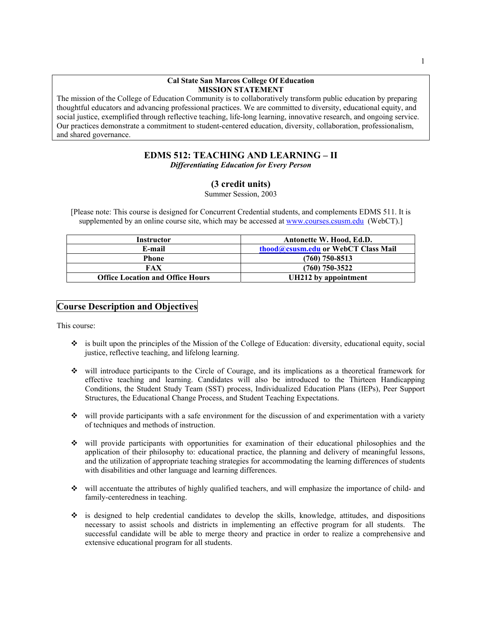#### **Cal State San Marcos College Of Education MISSION STATEMENT**

The mission of the College of Education Community is to collaboratively transform public education by preparing thoughtful educators and advancing professional practices. We are committed to diversity, educational equity, and social justice, exemplified through reflective teaching, life-long learning, innovative research, and ongoing service. Our practices demonstrate a commitment to student-centered education, diversity, collaboration, professionalism, and shared governance.

# **EDMS 512: TEACHING AND LEARNING – II**

*Differentiating Education for Every Person* 

## **(3 credit units)**

Summer Session, 2003

[Please note: This course is designed for Concurrent Credential students, and complements EDMS 511. It is supplemented by an online course site, which may be accessed at [www.courses.csusm.edu](http://www.courses.csusm.edu/) (WebCT).]

| Instructor                              | Antonette W. Hood, Ed.D.            |
|-----------------------------------------|-------------------------------------|
| E-mail                                  | thood@csusm.edu or WebCT Class Mail |
| <b>Phone</b>                            | $(760)$ 750-8513                    |
| FAX                                     | $(760)$ 750-3522                    |
| <b>Office Location and Office Hours</b> | UH212 by appointment                |

## **Course Description and Objectives**

This course:

- $\bullet$  is built upon the principles of the Mission of the College of Education: diversity, educational equity, social justice, reflective teaching, and lifelong learning.
- will introduce participants to the Circle of Courage, and its implications as a theoretical framework for effective teaching and learning. Candidates will also be introduced to the Thirteen Handicapping Conditions, the Student Study Team (SST) process, Individualized Education Plans (IEPs), Peer Support Structures, the Educational Change Process, and Student Teaching Expectations.
- $\bullet$  will provide participants with a safe environment for the discussion of and experimentation with a variety of techniques and methods of instruction.
- will provide participants with opportunities for examination of their educational philosophies and the application of their philosophy to: educational practice, the planning and delivery of meaningful lessons, and the utilization of appropriate teaching strategies for accommodating the learning differences of students with disabilities and other language and learning differences.
- will accentuate the attributes of highly qualified teachers, and will emphasize the importance of child- and family-centeredness in teaching.
- is designed to help credential candidates to develop the skills, knowledge, attitudes, and dispositions necessary to assist schools and districts in implementing an effective program for all students. The successful candidate will be able to merge theory and practice in order to realize a comprehensive and extensive educational program for all students.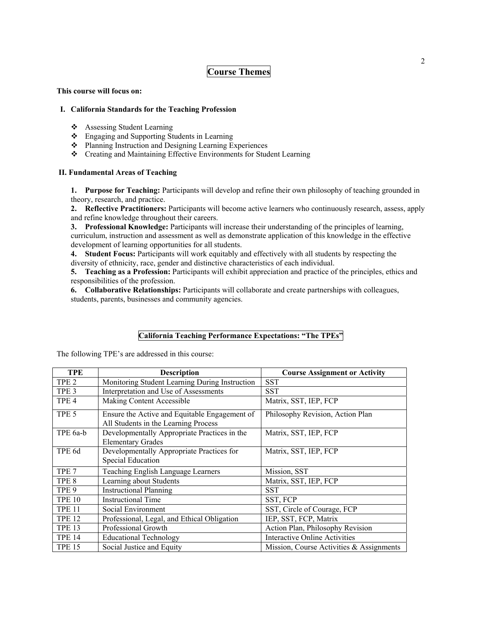## **Course Themes**

#### **This course will focus on:**

#### **I. California Standards for the Teaching Profession**

- Assessing Student Learning
- Engaging and Supporting Students in Learning
- ❖ Planning Instruction and Designing Learning Experiences
- Creating and Maintaining Effective Environments for Student Learning

### **II. Fundamental Areas of Teaching**

**1. Purpose for Teaching:** Participants will develop and refine their own philosophy of teaching grounded in theory, research, and practice.

**2. Reflective Practitioners:** Participants will become active learners who continuously research, assess, apply and refine knowledge throughout their careers.

**3. Professional Knowledge:** Participants will increase their understanding of the principles of learning, curriculum, instruction and assessment as well as demonstrate application of this knowledge in the effective development of learning opportunities for all students.

**4. Student Focus:** Participants will work equitably and effectively with all students by respecting the diversity of ethnicity, race, gender and distinctive characteristics of each individual.

**5. Teaching as a Profession:** Participants will exhibit appreciation and practice of the principles, ethics and responsibilities of the profession.

**6. Collaborative Relationships:** Participants will collaborate and create partnerships with colleagues, students, parents, businesses and community agencies.

## **California Teaching Performance Expectations: "The TPEs"**

The following TPE's are addressed in this course:

| <b>TPE</b>       | <b>Description</b>                                                                    | <b>Course Assignment or Activity</b>     |
|------------------|---------------------------------------------------------------------------------------|------------------------------------------|
| TPE <sub>2</sub> | Monitoring Student Learning During Instruction                                        | <b>SST</b>                               |
| TPE <sub>3</sub> | Interpretation and Use of Assessments                                                 | <b>SST</b>                               |
| TPE <sub>4</sub> | Making Content Accessible                                                             | Matrix, SST, IEP, FCP                    |
| TPE <sub>5</sub> | Ensure the Active and Equitable Engagement of<br>All Students in the Learning Process | Philosophy Revision, Action Plan         |
| TPE 6a-b         | Developmentally Appropriate Practices in the<br><b>Elementary Grades</b>              | Matrix, SST, IEP, FCP                    |
| TPE 6d           | Developmentally Appropriate Practices for<br>Special Education                        | Matrix, SST, IEP, FCP                    |
| TPE <sub>7</sub> | Teaching English Language Learners                                                    | Mission, SST                             |
| TPE 8            | Learning about Students                                                               | Matrix, SST, IEP, FCP                    |
| TPE <sub>9</sub> | <b>Instructional Planning</b>                                                         | <b>SST</b>                               |
| <b>TPE 10</b>    | <b>Instructional Time</b>                                                             | SST, FCP                                 |
| <b>TPE 11</b>    | Social Environment                                                                    | SST, Circle of Courage, FCP              |
| <b>TPE 12</b>    | Professional, Legal, and Ethical Obligation                                           | IEP, SST, FCP, Matrix                    |
| <b>TPE 13</b>    | Professional Growth                                                                   | Action Plan, Philosophy Revision         |
| <b>TPE 14</b>    | <b>Educational Technology</b>                                                         | <b>Interactive Online Activities</b>     |
| <b>TPE 15</b>    | Social Justice and Equity                                                             | Mission, Course Activities & Assignments |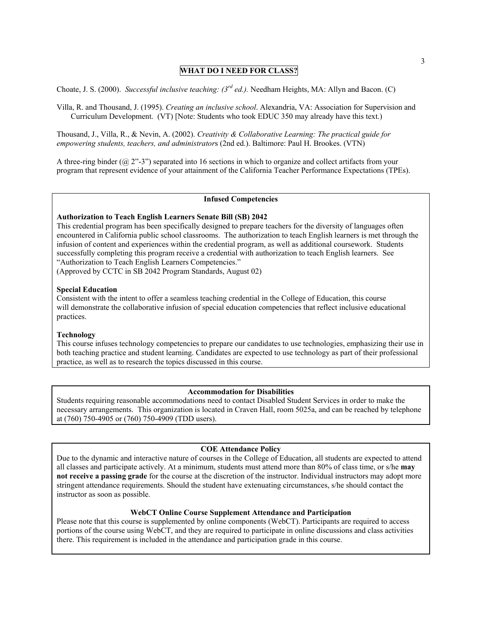### **WHAT DO I NEED FOR CLASS?**

Choate, J. S. (2000). *Successful inclusive teaching: (3rd ed.).* Needham Heights, MA: Allyn and Bacon. (C)

Villa, R. and Thousand, J. (1995). *Creating an inclusive school*. Alexandria, VA: Association for Supervision and Curriculum Development. (VT) [Note: Students who took EDUC 350 may already have this text.)

Thousand, J., Villa, R., & Nevin, A. (2002). *Creativity & Collaborative Learning: The practical guide for empowering students, teachers, and administrator*s (2nd ed.). Baltimore: Paul H. Brookes. (VTN)

A three-ring binder (@ 2"-3") separated into 16 sections in which to organize and collect artifacts from your program that represent evidence of your attainment of the California Teacher Performance Expectations (TPEs).

#### **Infused Competencies**

#### **Authorization to Teach English Learners Senate Bill (SB) 2042**

This credential program has been specifically designed to prepare teachers for the diversity of languages often encountered in California public school classrooms. The authorization to teach English learners is met through the infusion of content and experiences within the credential program, as well as additional coursework. Students successfully completing this program receive a credential with authorization to teach English learners. See "Authorization to Teach English Learners Competencies."

(Approved by CCTC in SB 2042 Program Standards, August 02)

#### **Special Education**

Consistent with the intent to offer a seamless teaching credential in the College of Education, this course will demonstrate the collaborative infusion of special education competencies that reflect inclusive educational practices.

#### **Technology**

This course infuses technology competencies to prepare our candidates to use technologies, emphasizing their use in both teaching practice and student learning. Candidates are expected to use technology as part of their professional practice, as well as to research the topics discussed in this course.

#### **Accommodation for Disabilities**

Students requiring reasonable accommodations need to contact Disabled Student Services in order to make the necessary arrangements. This organization is located in Craven Hall, room 5025a, and can be reached by telephone at (760) 750-4905 or (760) 750-4909 (TDD users).

#### **COE Attendance Policy**

Due to the dynamic and interactive nature of courses in the College of Education, all students are expected to attend all classes and participate actively. At a minimum, students must attend more than 80% of class time, or s/he **may not receive a passing grade** for the course at the discretion of the instructor. Individual instructors may adopt more stringent attendance requirements. Should the student have extenuating circumstances, s/he should contact the instructor as soon as possible.

#### **WebCT Online Course Supplement Attendance and Participation**

Please note that this course is supplemented by online components (WebCT). Participants are required to access portions of the course using WebCT, and they are required to participate in online discussions and class activities there. This requirement is included in the attendance and participation grade in this course.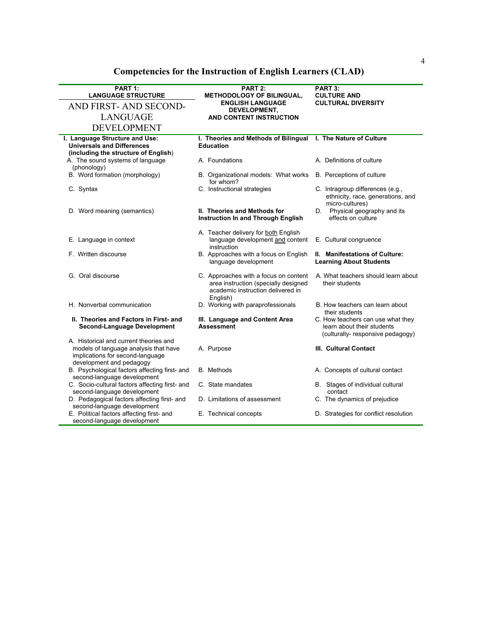| PART 1:                                                                                                                | PART 2:                                                                                                                        | PART 3:                                                                                              |
|------------------------------------------------------------------------------------------------------------------------|--------------------------------------------------------------------------------------------------------------------------------|------------------------------------------------------------------------------------------------------|
| <b>LANGUAGE STRUCTURE</b>                                                                                              | <b>METHODOLOGY OF BILINGUAL,</b><br><b>ENGLISH LANGUAGE</b>                                                                    | <b>CULTURE AND</b><br><b>CULTURAL DIVERSITY</b>                                                      |
| AND FIRST-AND SECOND-                                                                                                  | DEVELOPMENT,                                                                                                                   |                                                                                                      |
| <b>LANGUAGE</b>                                                                                                        | AND CONTENT INSTRUCTION                                                                                                        |                                                                                                      |
| <b>DEVELOPMENT</b>                                                                                                     |                                                                                                                                |                                                                                                      |
| I. Language Structure and Use:<br><b>Universals and Differences</b><br>(including the structure of English)            | I. Theories and Methods of Bilingual I. The Nature of Culture<br><b>Education</b>                                              |                                                                                                      |
| A. The sound systems of language<br>(phonology)                                                                        | A. Foundations                                                                                                                 | A. Definitions of culture                                                                            |
| B. Word formation (morphology)                                                                                         | B. Organizational models: What works<br>for whom?                                                                              | B. Perceptions of culture                                                                            |
| C. Syntax                                                                                                              | C. Instructional strategies                                                                                                    | C. Intragroup differences (e.g.,<br>ethnicity, race, generations, and<br>micro-cultures)             |
| D. Word meaning (semantics)                                                                                            | II. Theories and Methods for<br><b>Instruction In and Through English</b>                                                      | D. Physical geography and its<br>effects on culture                                                  |
| E. Language in context                                                                                                 | A. Teacher delivery for both English<br>language development and content<br>instruction                                        | E. Cultural congruence                                                                               |
| F. Written discourse                                                                                                   | B. Approaches with a focus on English<br>language development                                                                  | II. Manifestations of Culture:<br><b>Learning About Students</b>                                     |
| G. Oral discourse                                                                                                      | C. Approaches with a focus on content<br>area instruction (specially designed<br>academic instruction delivered in<br>English) | A. What teachers should learn about<br>their students                                                |
| H. Nonverbal communication                                                                                             | D. Working with paraprofessionals                                                                                              | B. How teachers can learn about<br>their students                                                    |
| II. Theories and Factors in First- and<br><b>Second-Language Development</b><br>A. Historical and current theories and | III. Language and Content Area<br><b>Assessment</b>                                                                            | C. How teachers can use what they<br>learn about their students<br>(culturally- responsive pedagogy) |
| models of language analysis that have<br>implications for second-language<br>development and pedagogy                  | A. Purpose                                                                                                                     | III. Cultural Contact                                                                                |
| B. Psychological factors affecting first- and<br>second-language development                                           | <b>B.</b> Methods                                                                                                              | A. Concepts of cultural contact                                                                      |
| C. Socio-cultural factors affecting first- and<br>second-language development                                          | C. State mandates                                                                                                              | B. Stages of individual cultural<br>contact                                                          |
| D. Pedagogical factors affecting first- and<br>second-language development                                             | D. Limitations of assessment                                                                                                   | C. The dynamics of prejudice                                                                         |
| E. Political factors affecting first- and<br>second-language development                                               | E. Technical concepts                                                                                                          | D. Strategies for conflict resolution                                                                |

**Competencies for the Instruction of English Learners (CLAD)**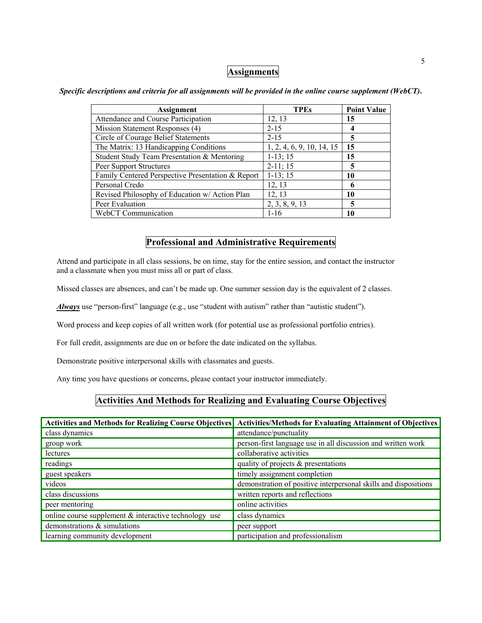# **Assignments**

| <b>Assignment</b>                                 | <b>TPEs</b>               | <b>Point Value</b> |
|---------------------------------------------------|---------------------------|--------------------|
| Attendance and Course Participation               | 12, 13                    | 15                 |
| Mission Statement Responses (4)                   | $2 - 15$                  | 4                  |
| Circle of Courage Belief Statements               | $2 - 15$                  | 5                  |
| The Matrix: 13 Handicapping Conditions            | 1, 2, 4, 6, 9, 10, 14, 15 | 15                 |
| Student Study Team Presentation & Mentoring       | $1-13; 15$                | 15                 |
| Peer Support Structures                           | $2-11; 15$                | 5                  |
| Family Centered Perspective Presentation & Report | $1-13; 15$                | 10                 |
| Personal Credo                                    | 12, 13                    | 6                  |
| Revised Philosophy of Education w/ Action Plan    | 12, 13                    | 10                 |
| Peer Evaluation                                   | 2, 3, 8, 9, 13            | 5                  |
| WebCT Communication                               | $1 - 16$                  | 10                 |

*Specific descriptions and criteria for all assignments will be provided in the online course supplement (WebCT)***.** 

# **Professional and Administrative Requirements**

Attend and participate in all class sessions, be on time, stay for the entire session, and contact the instructor and a classmate when you must miss all or part of class.

Missed classes are absences, and can't be made up. One summer session day is the equivalent of 2 classes.

*Always* use "person-first" language (e.g., use "student with autism" rather than "autistic student").

Word process and keep copies of all written work (for potential use as professional portfolio entries).

For full credit, assignments are due on or before the date indicated on the syllabus.

Demonstrate positive interpersonal skills with classmates and guests.

Any time you have questions or concerns, please contact your instructor immediately.

## **Activities And Methods for Realizing and Evaluating Course Objectives**

| <b>Activities and Methods for Realizing Course Objectives</b> | <b>Activities/Methods for Evaluating Attainment of Objectives</b> |
|---------------------------------------------------------------|-------------------------------------------------------------------|
| class dynamics                                                | attendance/punctuality                                            |
| group work                                                    | person-first language use in all discussion and written work      |
| lectures                                                      | collaborative activities                                          |
| readings                                                      | quality of projects $\&$ presentations                            |
| guest speakers                                                | timely assignment completion                                      |
| videos                                                        | demonstration of positive interpersonal skills and dispositions   |
| class discussions                                             | written reports and reflections                                   |
| peer mentoring                                                | online activities                                                 |
| online course supplement $\&$ interactive technology use      | class dynamics                                                    |
| demonstrations & simulations                                  | peer support                                                      |
| learning community development                                | participation and professionalism                                 |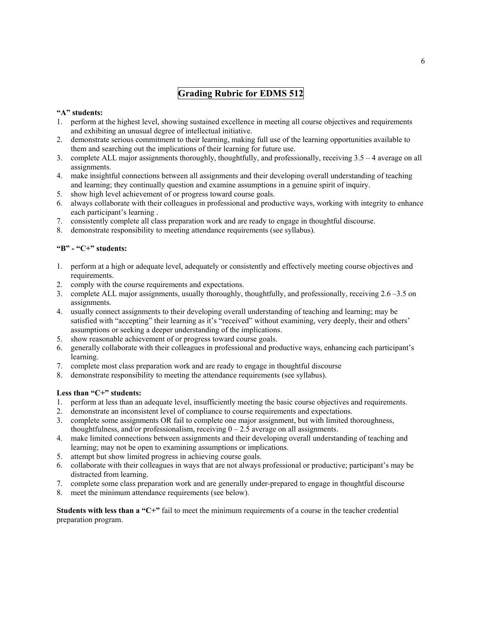# **Grading Rubric for EDMS 512**

### **"A" students:**

- 1. perform at the highest level, showing sustained excellence in meeting all course objectives and requirements and exhibiting an unusual degree of intellectual initiative.
- 2. demonstrate serious commitment to their learning, making full use of the learning opportunities available to them and searching out the implications of their learning for future use.
- 3. complete ALL major assignments thoroughly, thoughtfully, and professionally, receiving 3.5 4 average on all assignments.
- 4. make insightful connections between all assignments and their developing overall understanding of teaching and learning; they continually question and examine assumptions in a genuine spirit of inquiry.
- 5. show high level achievement of or progress toward course goals.
- 6. always collaborate with their colleagues in professional and productive ways, working with integrity to enhance each participant's learning .
- 7. consistently complete all class preparation work and are ready to engage in thoughtful discourse.
- 8. demonstrate responsibility to meeting attendance requirements (see syllabus).

### **"B" - "C+" students:**

- 1. perform at a high or adequate level, adequately or consistently and effectively meeting course objectives and requirements.
- 2. comply with the course requirements and expectations.
- 3. complete ALL major assignments, usually thoroughly, thoughtfully, and professionally, receiving 2.6 –3.5 on assignments.
- 4. usually connect assignments to their developing overall understanding of teaching and learning; may be satisfied with "accepting" their learning as it's "received" without examining, very deeply, their and others' assumptions or seeking a deeper understanding of the implications.
- 5. show reasonable achievement of or progress toward course goals.
- 6. generally collaborate with their colleagues in professional and productive ways, enhancing each participant's learning.
- 7. complete most class preparation work and are ready to engage in thoughtful discourse
- 8. demonstrate responsibility to meeting the attendance requirements (see syllabus).

#### Less than "C+" students:

- 1. perform at less than an adequate level, insufficiently meeting the basic course objectives and requirements.
- 2. demonstrate an inconsistent level of compliance to course requirements and expectations.
- 3. complete some assignments OR fail to complete one major assignment, but with limited thoroughness, thoughtfulness, and/or professionalism, receiving  $0 - 2.5$  average on all assignments.
- 4. make limited connections between assignments and their developing overall understanding of teaching and learning; may not be open to examining assumptions or implications.
- 5. attempt but show limited progress in achieving course goals.
- 6. collaborate with their colleagues in ways that are not always professional or productive; participant's may be distracted from learning.
- 7. complete some class preparation work and are generally under-prepared to engage in thoughtful discourse
- 8. meet the minimum attendance requirements (see below).

**Students with less than a "C+"** fail to meet the minimum requirements of a course in the teacher credential preparation program.